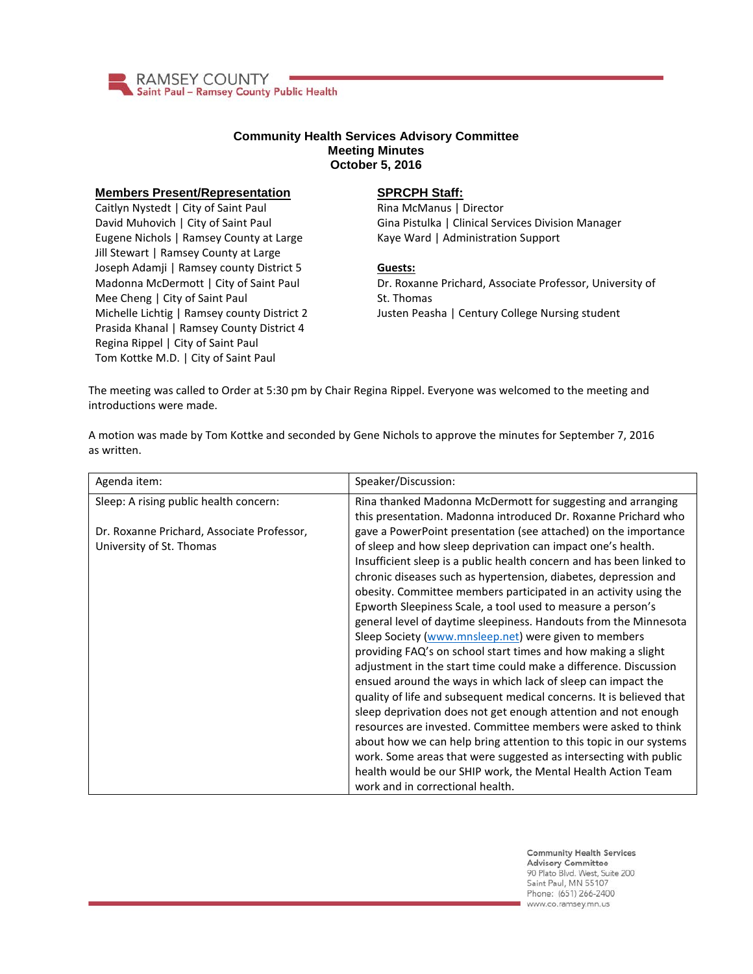

## **Community Health Services Advisory Committee Meeting Minutes October 5, 2016**

## **Members Present/Representation**

Caitlyn Nystedt | City of Saint Paul David Muhovich | City of Saint Paul Eugene Nichols | Ramsey County at Large Jill Stewart | Ramsey County at Large Joseph Adamji | Ramsey county District 5 Madonna McDermott | City of Saint Paul Mee Cheng | City of Saint Paul Michelle Lichtig | Ramsey county District 2 Prasida Khanal | Ramsey County District 4 Regina Rippel | City of Saint Paul Tom Kottke M.D. | City of Saint Paul

## **SPRCPH Staff:**

Rina McManus | Director Gina Pistulka | Clinical Services Division Manager Kaye Ward | Administration Support

## **Guests:**

Dr. Roxanne Prichard, Associate Professor, University of St. Thomas Justen Peasha | Century College Nursing student

The meeting was called to Order at 5:30 pm by Chair Regina Rippel. Everyone was welcomed to the meeting and introductions were made.

A motion was made by Tom Kottke and seconded by Gene Nichols to approve the minutes for September 7, 2016 as written.

| Agenda item:                                                           | Speaker/Discussion:                                                                                                                                                                                                                                                                                                                                                                                                                                                                                                                                                                                                                                                                                                                                                                                                                                                                                                                                                                                                                                                                                                                                                                                     |
|------------------------------------------------------------------------|---------------------------------------------------------------------------------------------------------------------------------------------------------------------------------------------------------------------------------------------------------------------------------------------------------------------------------------------------------------------------------------------------------------------------------------------------------------------------------------------------------------------------------------------------------------------------------------------------------------------------------------------------------------------------------------------------------------------------------------------------------------------------------------------------------------------------------------------------------------------------------------------------------------------------------------------------------------------------------------------------------------------------------------------------------------------------------------------------------------------------------------------------------------------------------------------------------|
| Sleep: A rising public health concern:                                 | Rina thanked Madonna McDermott for suggesting and arranging<br>this presentation. Madonna introduced Dr. Roxanne Prichard who                                                                                                                                                                                                                                                                                                                                                                                                                                                                                                                                                                                                                                                                                                                                                                                                                                                                                                                                                                                                                                                                           |
| Dr. Roxanne Prichard, Associate Professor,<br>University of St. Thomas | gave a PowerPoint presentation (see attached) on the importance<br>of sleep and how sleep deprivation can impact one's health.<br>Insufficient sleep is a public health concern and has been linked to<br>chronic diseases such as hypertension, diabetes, depression and<br>obesity. Committee members participated in an activity using the<br>Epworth Sleepiness Scale, a tool used to measure a person's<br>general level of daytime sleepiness. Handouts from the Minnesota<br>Sleep Society (www.mnsleep.net) were given to members<br>providing FAQ's on school start times and how making a slight<br>adjustment in the start time could make a difference. Discussion<br>ensued around the ways in which lack of sleep can impact the<br>quality of life and subsequent medical concerns. It is believed that<br>sleep deprivation does not get enough attention and not enough<br>resources are invested. Committee members were asked to think<br>about how we can help bring attention to this topic in our systems<br>work. Some areas that were suggested as intersecting with public<br>health would be our SHIP work, the Mental Health Action Team<br>work and in correctional health. |

**Community Health Services Advisory Committee** 90 Plato Blvd. West, Suite 200 Saint Paul, MN 55107 Phone: (651) 266-2400 www.co.ramsey.mn.us